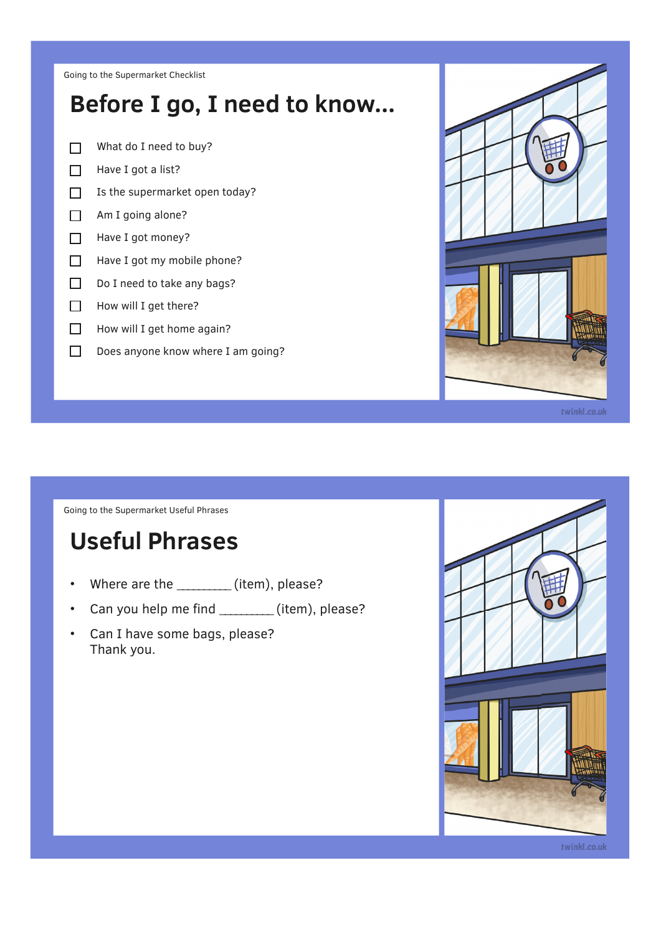Going to the Supermarket Checklist

## **Before I go, I need to know...**

- What do I need to buy?  $\Box$
- Have I got a list?  $\Box$
- $\Box$ Is the supermarket open today?
- Am I going alone?  $\Box$
- $\Box$ Have I got money?
- $\Box$ Have I got my mobile phone?
- $\Box$ Do I need to take any bags?
- How will I get there?  $\Box$
- $\Box$ How will I get home again?
- $\Box$ Does anyone know where I am going?



Going to the Supermarket Useful Phrases

## **Useful Phrases**

- Where are the \_\_\_\_\_\_\_\_\_\_ (item), please?
- Can you help me find \_\_\_\_\_\_\_\_(item), please?
- Can I have some bags, please? Thank you.



twinkl.co.uk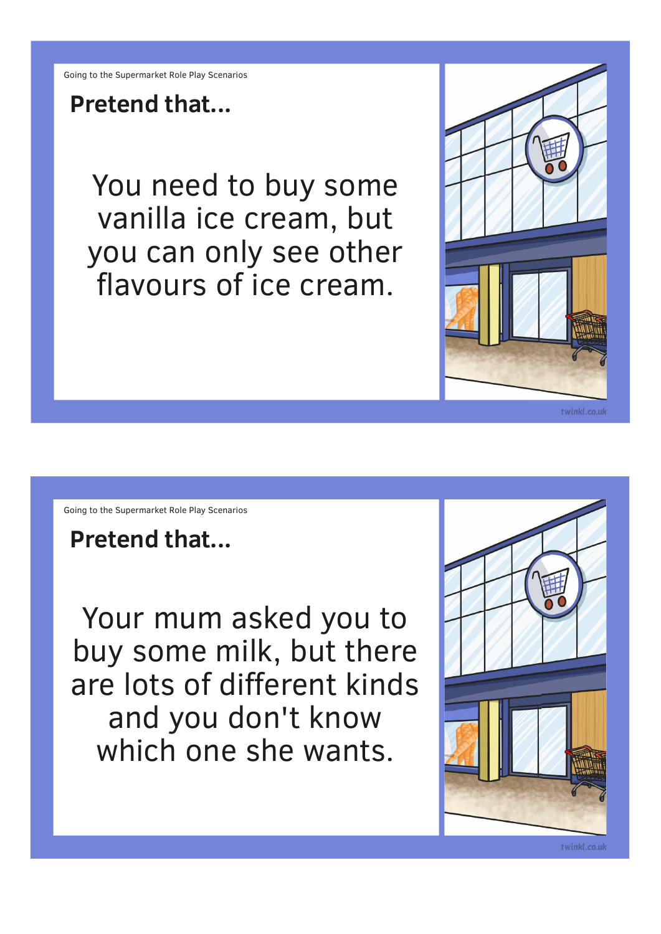**Pretend that...**

You need to buy some vanilla ice cream, but you can only see other flavours of ice cream.



Going to the Supermarket Role Play Scenarios

**Pretend that...**

Your mum asked you to buy some milk, but there are lots of different kinds and you don't know which one she wants.

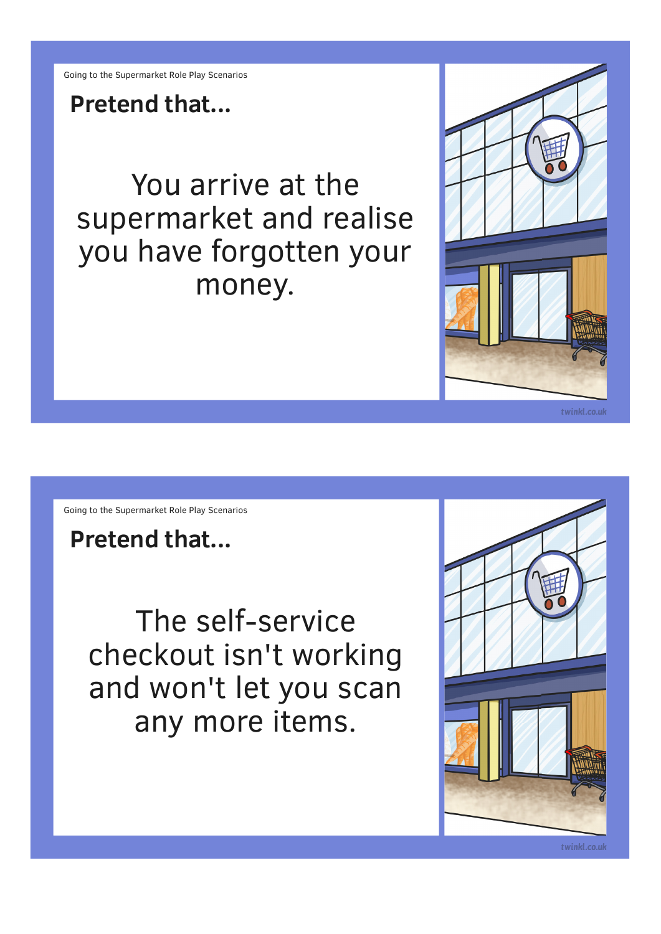**Pretend that...**

You arrive at the supermarket and realise you have forgotten your money.



Going to the Supermarket Role Play Scenarios

**Pretend that...**

The self-service checkout isn't working and won't let you scan any more items.

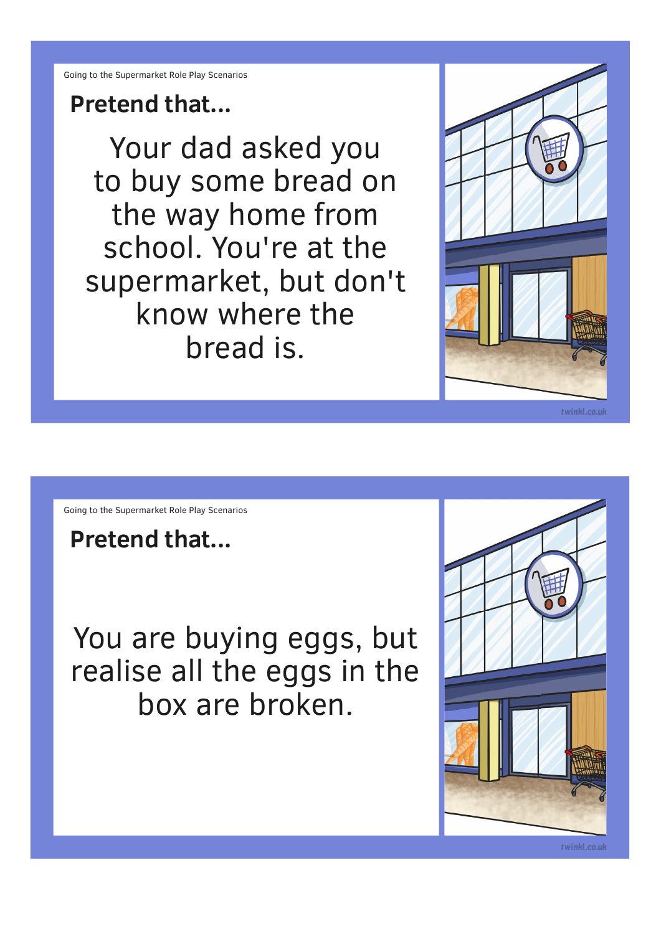## **Pretend that...**

Your dad asked you to buy some bread on the way home from school. You're at the supermarket, but don't know where the bread is.



Going to the Supermarket Role Play Scenarios

**Pretend that...**

You are buying eggs, but realise all the eggs in the box are broken.

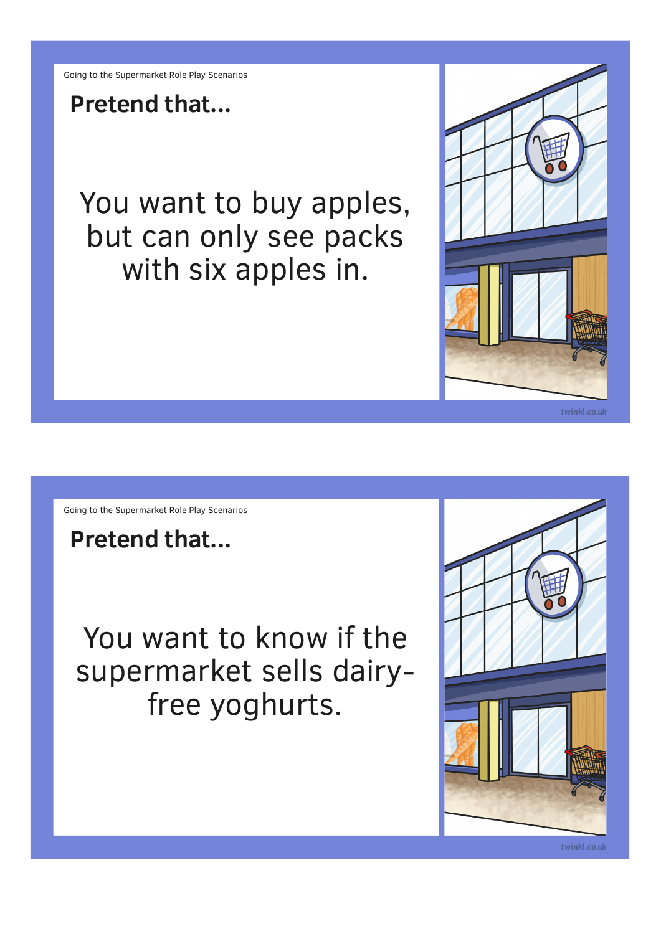**Pretend that...**

You want to buy apples, but can only see packs with six apples in.



Going to the Supermarket Role Play Scenarios

**Pretend that...**

You want to know if the supermarket sells dairyfree yoghurts.

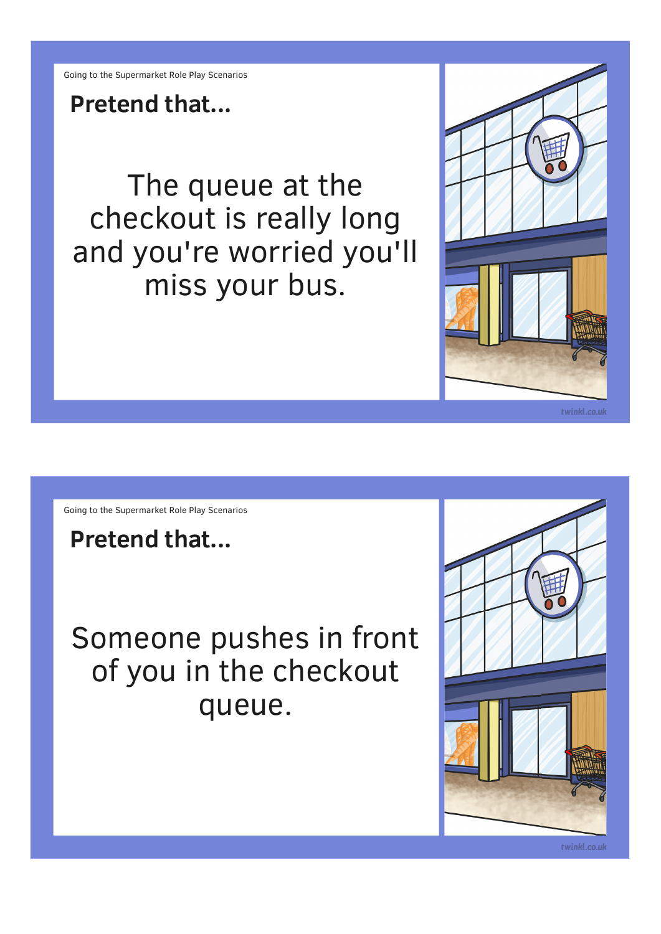**Pretend that...**

The queue at the checkout is really long and you're worried you'll miss your bus.



Going to the Supermarket Role Play Scenarios

**Pretend that...**

Someone pushes in front of you in the checkout queue.